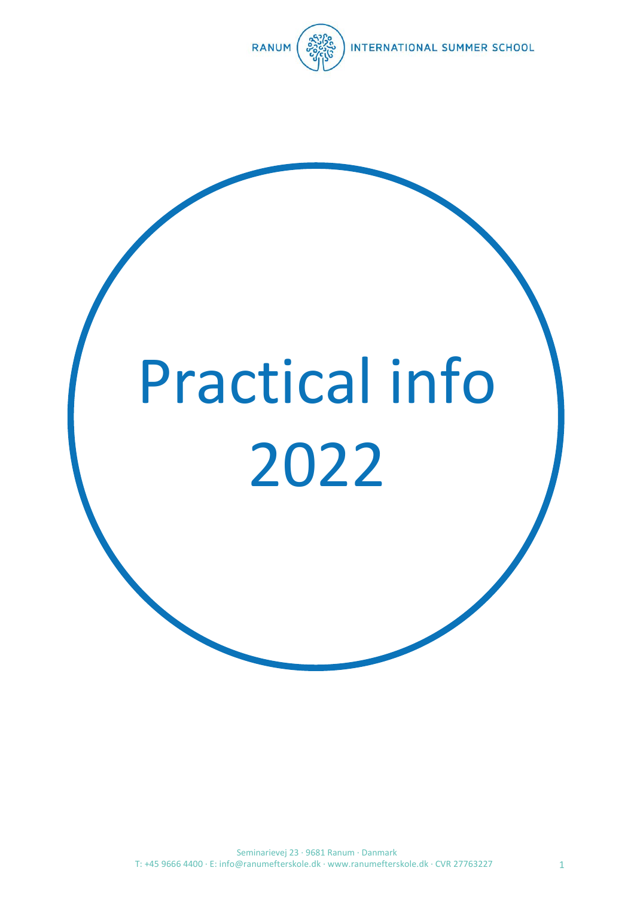

# Practical info 2022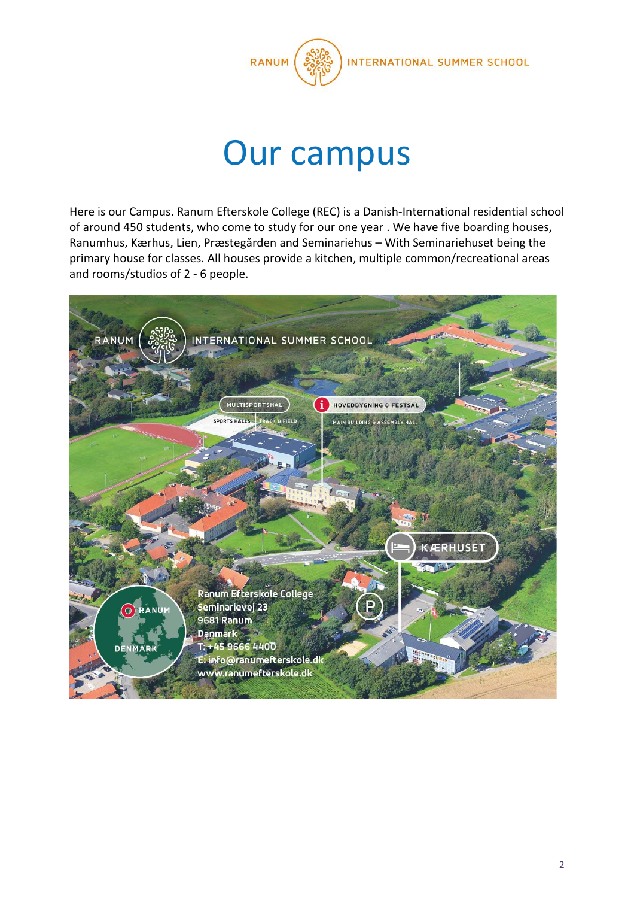

### Our campus

Here is our Campus. Ranum Efterskole College (REC) is a Danish-International residential school of around 450 students, who come to study for our one year . We have five boarding houses, Ranumhus, Kærhus, Lien, Præstegården and Seminariehus – With Seminariehuset being the primary house for classes. All houses provide a kitchen, multiple common/recreational areas and rooms/studios of 2 - 6 people.

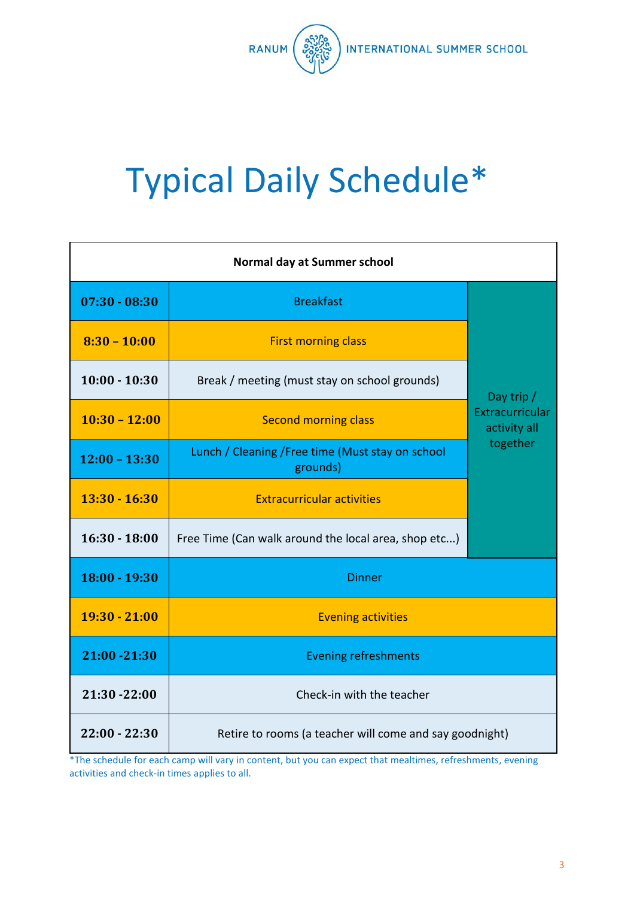

## Typical Daily Schedule\*

| Normal day at Summer school |                                                               |                                                           |  |
|-----------------------------|---------------------------------------------------------------|-----------------------------------------------------------|--|
| $07:30 - 08:30$             | <b>Breakfast</b>                                              | Day trip /<br>Extracurricular<br>activity all<br>together |  |
| $8:30 - 10:00$              | <b>First morning class</b>                                    |                                                           |  |
| $10:00 - 10:30$             | Break / meeting (must stay on school grounds)                 |                                                           |  |
| $10:30 - 12:00$             | <b>Second morning class</b>                                   |                                                           |  |
| $12:00 - 13:30$             | Lunch / Cleaning / Free time (Must stay on school<br>grounds) |                                                           |  |
| $13:30 - 16:30$             | <b>Extracurricular activities</b>                             |                                                           |  |
| $16:30 - 18:00$             | Free Time (Can walk around the local area, shop etc)          |                                                           |  |
| 18:00 - 19:30               | <b>Dinner</b>                                                 |                                                           |  |
| $19:30 - 21:00$             | <b>Evening activities</b>                                     |                                                           |  |
| 21:00 - 21:30               | <b>Evening refreshments</b>                                   |                                                           |  |
| 21:30 - 22:00               | Check-in with the teacher                                     |                                                           |  |
| $22:00 - 22:30$             | Retire to rooms (a teacher will come and say goodnight)       |                                                           |  |

\*The schedule for each camp will vary in content, but you can expect that mealtimes, refreshments, evening activities and check-in times applies to all.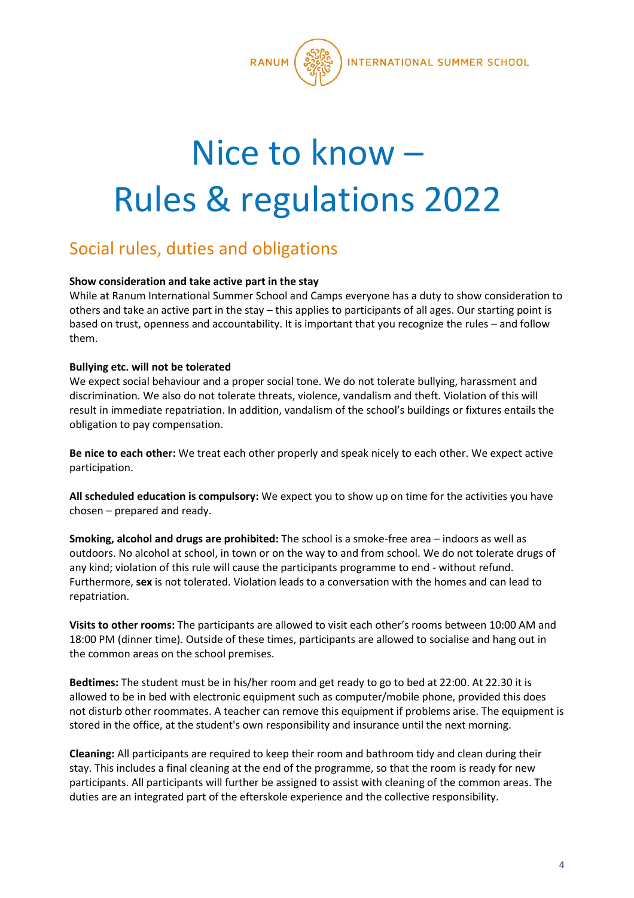

### Nice to know – Rules & regulations 2022

#### Social rules, duties and obligations

#### **Show consideration and take active part in the stay**

While at Ranum International Summer School and Camps everyone has a duty to show consideration to others and take an active part in the stay – this applies to participants of all ages. Our starting point is based on trust, openness and accountability. It is important that you recognize the rules – and follow them.

#### **Bullying etc. will not be tolerated**

We expect social behaviour and a proper social tone. We do not tolerate bullying, harassment and discrimination. We also do not tolerate threats, violence, vandalism and theft. Violation of this will result in immediate repatriation. In addition, vandalism of the school's buildings or fixtures entails the obligation to pay compensation.

**Be nice to each other:** We treat each other properly and speak nicely to each other. We expect active participation.

**All scheduled education is compulsory:** We expect you to show up on time for the activities you have chosen – prepared and ready.

**Smoking, alcohol and drugs are prohibited:** The school is a smoke-free area – indoors as well as outdoors. No alcohol at school, in town or on the way to and from school. We do not tolerate drugs of any kind; violation of this rule will cause the participants programme to end - without refund. Furthermore, **sex** is not tolerated. Violation leads to a conversation with the homes and can lead to repatriation.

**Visits to other rooms:** The participants are allowed to visit each other's rooms between 10:00 AM and 18:00 PM (dinner time). Outside of these times, participants are allowed to socialise and hang out in the common areas on the school premises.

**Bedtimes:** The student must be in his/her room and get ready to go to bed at 22:00. At 22.30 it is allowed to be in bed with electronic equipment such as computer/mobile phone, provided this does not disturb other roommates. A teacher can remove this equipment if problems arise. The equipment is stored in the office, at the student's own responsibility and insurance until the next morning.

**Cleaning:** All participants are required to keep their room and bathroom tidy and clean during their stay. This includes a final cleaning at the end of the programme, so that the room is ready for new participants. All participants will further be assigned to assist with cleaning of the common areas. The duties are an integrated part of the efterskole experience and the collective responsibility.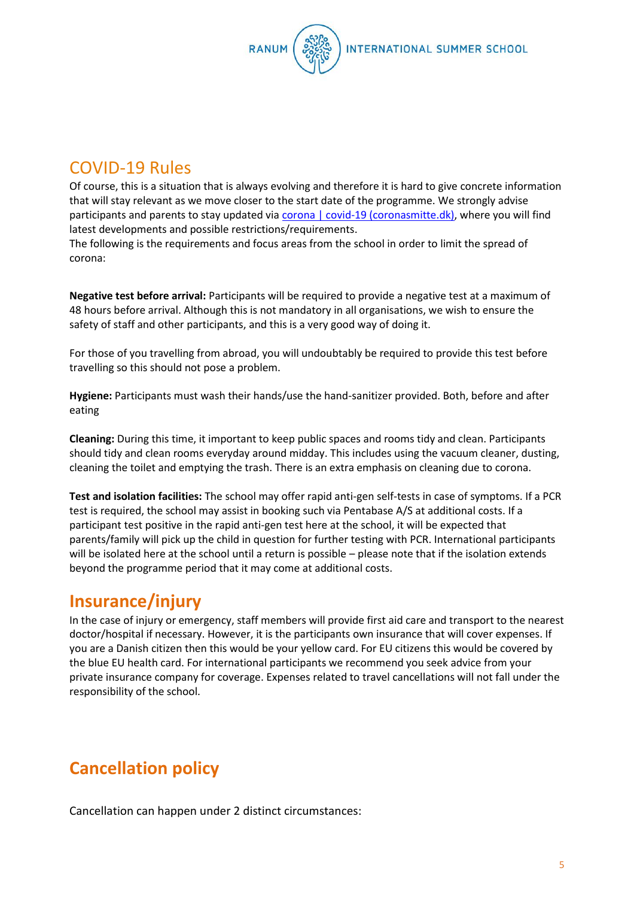

#### COVID-19 Rules

Of course, this is a situation that is always evolving and therefore it is hard to give concrete information that will stay relevant as we move closer to the start date of the programme. We strongly advise participants and parents to stay updated vi[a corona | covid-19 \(coronasmitte.dk\),](https://en.coronasmitte.dk/) where you will find latest developments and possible restrictions/requirements.

The following is the requirements and focus areas from the school in order to limit the spread of corona:

**Negative test before arrival:** Participants will be required to provide a negative test at a maximum of 48 hours before arrival. Although this is not mandatory in all organisations, we wish to ensure the safety of staff and other participants, and this is a very good way of doing it.

For those of you travelling from abroad, you will undoubtably be required to provide this test before travelling so this should not pose a problem.

**Hygiene:** Participants must wash their hands/use the hand-sanitizer provided. Both, before and after eating

**Cleaning:** During this time, it important to keep public spaces and rooms tidy and clean. Participants should tidy and clean rooms everyday around midday. This includes using the vacuum cleaner, dusting, cleaning the toilet and emptying the trash. There is an extra emphasis on cleaning due to corona.

**Test and isolation facilities:** The school may offer rapid anti-gen self-tests in case of symptoms. If a PCR test is required, the school may assist in booking such via Pentabase A/S at additional costs. If a participant test positive in the rapid anti-gen test here at the school, it will be expected that parents/family will pick up the child in question for further testing with PCR. International participants will be isolated here at the school until a return is possible – please note that if the isolation extends beyond the programme period that it may come at additional costs.

#### **Insurance/injury**

In the case of injury or emergency, staff members will provide first aid care and transport to the nearest doctor/hospital if necessary. However, it is the participants own insurance that will cover expenses. If you are a Danish citizen then this would be your yellow card. For EU citizens this would be covered by the blue EU health card. For international participants we recommend you seek advice from your private insurance company for coverage. Expenses related to travel cancellations will not fall under the responsibility of the school.

### **Cancellation policy**

Cancellation can happen under 2 distinct circumstances: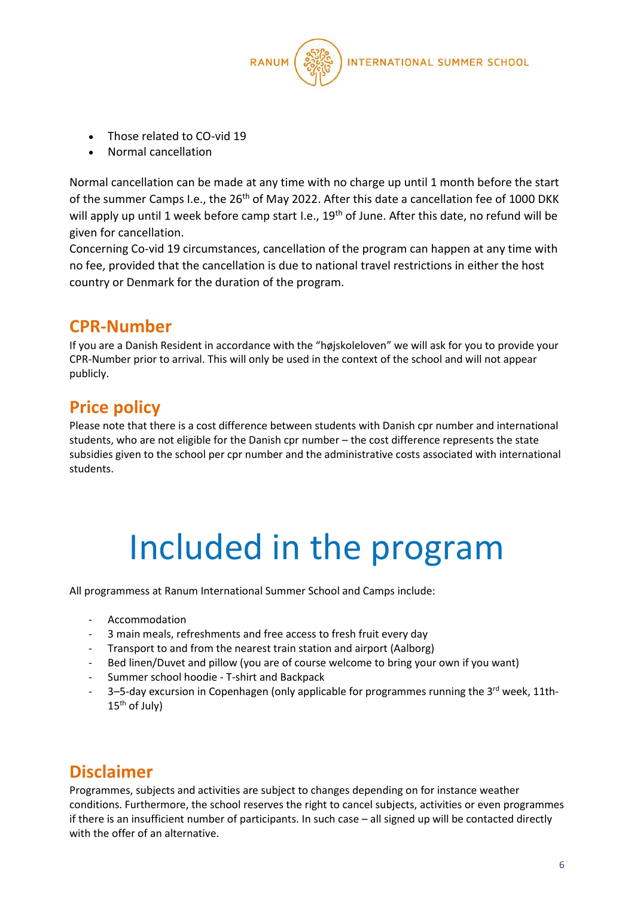

- Those related to CO-vid 19
- Normal cancellation

Normal cancellation can be made at any time with no charge up until 1 month before the start of the summer Camps I.e., the 26<sup>th</sup> of May 2022. After this date a cancellation fee of 1000 DKK will apply up until 1 week before camp start I.e., 19<sup>th</sup> of June. After this date, no refund will be given for cancellation.

Concerning Co-vid 19 circumstances, cancellation of the program can happen at any time with no fee, provided that the cancellation is due to national travel restrictions in either the host country or Denmark for the duration of the program.

#### **CPR-Number**

If you are a Danish Resident in accordance with the "højskoleloven" we will ask for you to provide your CPR-Number prior to arrival. This will only be used in the context of the school and will not appear publicly.

### **Price policy**

Please note that there is a cost difference between students with Danish cpr number and international students, who are not eligible for the Danish cpr number – the cost difference represents the state subsidies given to the school per cpr number and the administrative costs associated with international students.

### Included in the program

All programmess at Ranum International Summer School and Camps include:

- **Accommodation**
- 3 main meals, refreshments and free access to fresh fruit every day
- Transport to and from the nearest train station and airport (Aalborg)
- Bed linen/Duvet and pillow (you are of course welcome to bring your own if you want)
- Summer school hoodie T-shirt and Backpack
- 3-5-day excursion in Copenhagen (only applicable for programmes running the 3<sup>rd</sup> week, 11th-15<sup>th</sup> of July)

#### **Disclaimer**

Programmes, subjects and activities are subject to changes depending on for instance weather conditions. Furthermore, the school reserves the right to cancel subjects, activities or even programmes if there is an insufficient number of participants. In such case – all signed up will be contacted directly with the offer of an alternative.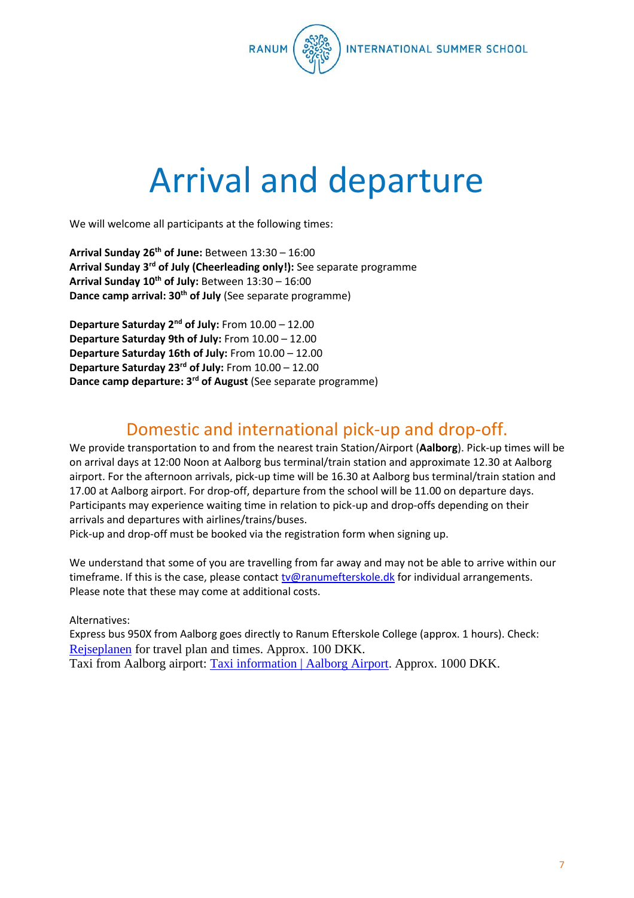

### Arrival and departure

We will welcome all participants at the following times:

**Arrival Sunday 26 th of June:** Between 13:30 – 16:00 **Arrival Sunday 3rd of July (Cheerleading only!):** See separate programme **Arrival Sunday 10th of July:** Between 13:30 – 16:00 **Dance camp arrival: 30th of July** (See separate programme)

**Departure Saturday 2nd of July:** From 10.00 – 12.00 **Departure Saturday 9th of July:** From 10.00 – 12.00 **Departure Saturday 16th of July:** From 10.00 – 12.00 **Departure Saturday 23rd of July:** From 10.00 – 12.00 **Dance camp departure: 3rd of August** (See separate programme)

#### Domestic and international pick-up and drop-off.

We provide transportation to and from the nearest train Station/Airport (**Aalborg**). Pick-up times will be on arrival days at 12:00 Noon at Aalborg bus terminal/train station and approximate 12.30 at Aalborg airport. For the afternoon arrivals, pick-up time will be 16.30 at Aalborg bus terminal/train station and 17.00 at Aalborg airport. For drop-off, departure from the school will be 11.00 on departure days. Participants may experience waiting time in relation to pick-up and drop-offs depending on their arrivals and departures with airlines/trains/buses.

Pick-up and drop-off must be booked via the registration form when signing up.

We understand that some of you are travelling from far away and may not be able to arrive within our timeframe. If this is the case, please contact [tv@ranumefterskole.dk](mailto:tv@ranumefterskole.dk) for individual arrangements. Please note that these may come at additional costs.

Alternatives:

Express bus 950X from Aalborg goes directly to Ranum Efterskole College (approx. 1 hours). Check: [Rejseplanen](https://www.rejseplanen.dk/webapp/#!P|TP!histId|0!histKey|H819971) for travel plan and times. Approx. 100 DKK. Taxi from Aalborg airport: [Taxi information | Aalborg Airport.](https://www.aal.dk/practical/taxi) Approx. 1000 DKK.